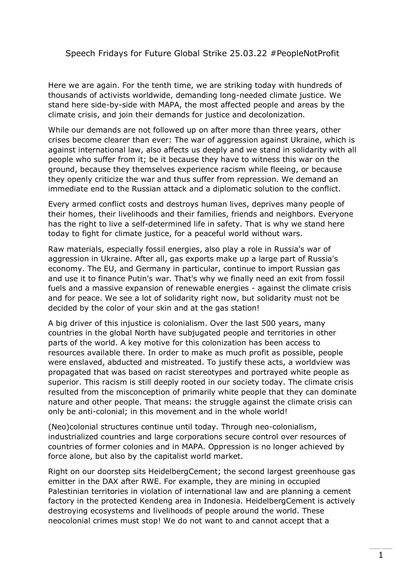## Speech Fridays for Future Global Strike 25.03.22 #PeopleNotProfit

Here we are again. For the tenth time, we are striking today with hundreds of thousands of activists worldwide, demanding long-needed climate justice. We stand here side-by-side with MAPA, the most affected people and areas by the climate crisis, and join their demands for justice and decolonization.

While our demands are not followed up on after more than three years, other crises become clearer than ever: The war of aggression against Ukraine, which is against international law, also affects us deeply and we stand in solidarity with all people who suffer from it; be it because they have to witness this war on the ground, because they themselves experience racism while fleeing, or because they openly criticize the war and thus suffer from repression. We demand an immediate end to the Russian attack and a diplomatic solution to the conflict.

Every armed conflict costs and destroys human lives, deprives many people of their homes, their livelihoods and their families, friends and neighbors. Everyone has the right to live a self-determined life in safety. That is why we stand here today to fight for climate justice, for a peaceful world without wars.

Raw materials, especially fossil energies, also play a role in Russia's war of aggression in Ukraine. After all, gas exports make up a large part of Russia's economy. The EU, and Germany in particular, continue to import Russian gas and use it to finance Putin's war. That's why we finally need an exit from fossil fuels and a massive expansion of renewable energies - against the climate crisis and for peace. We see a lot of solidarity right now, but solidarity must not be decided by the color of your skin and at the gas station!

A big driver of this injustice is colonialism. Over the last 500 years, many countries in the global North have subjugated people and territories in other parts of the world. A key motive for this colonization has been access to resources available there. In order to make as much profit as possible, people were enslaved, abducted and mistreated. To justify these acts, a worldview was propagated that was based on racist stereotypes and portrayed white people as superior. This racism is still deeply rooted in our society today. The climate crisis resulted from the misconception of primarily white people that they can dominate nature and other people. That means: the struggle against the climate crisis can only be anti-colonial; in this movement and in the whole world!

(Neo)colonial structures continue until today. Through neo-colonialism, industrialized countries and large corporations secure control over resources of countries of former colonies and in MAPA. Oppression is no longer achieved by force alone, but also by the capitalist world market.

Right on our doorstep sits HeidelbergCement; the second largest greenhouse gas emitter in the DAX after RWE. For example, they are mining in occupied Palestinian territories in violation of international law and are planning a cement factory in the protected Kendeng area in Indonesia. HeidelbergCement is actively destroying ecosystems and livelihoods of people around the world. These neocolonial crimes must stop! We do not want to and cannot accept that a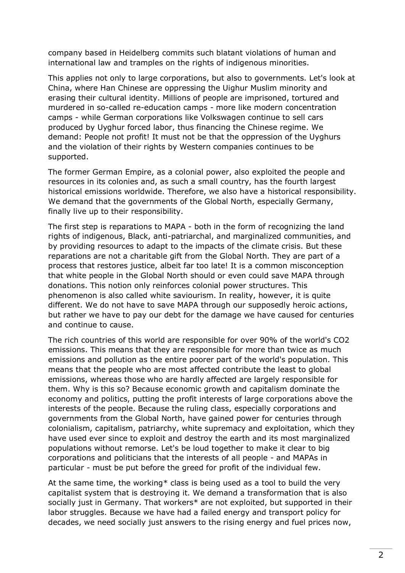company based in Heidelberg commits such blatant violations of human and international law and tramples on the rights of indigenous minorities.

This applies not only to large corporations, but also to governments. Let's look at China, where Han Chinese are oppressing the Uighur Muslim minority and erasing their cultural identity. Millions of people are imprisoned, tortured and murdered in so-called re-education camps - more like modern concentration camps - while German corporations like Volkswagen continue to sell cars produced by Uyghur forced labor, thus financing the Chinese regime. We demand: People not profit! It must not be that the oppression of the Uyghurs and the violation of their rights by Western companies continues to be supported.

The former German Empire, as a colonial power, also exploited the people and resources in its colonies and, as such a small country, has the fourth largest historical emissions worldwide. Therefore, we also have a historical responsibility. We demand that the governments of the Global North, especially Germany, finally live up to their responsibility.

The first step is reparations to MAPA - both in the form of recognizing the land rights of indigenous, Black, anti-patriarchal, and marginalized communities, and by providing resources to adapt to the impacts of the climate crisis. But these reparations are not a charitable gift from the Global North. They are part of a process that restores justice, albeit far too late! It is a common misconception that white people in the Global North should or even could save MAPA through donations. This notion only reinforces colonial power structures. This phenomenon is also called white saviourism. In reality, however, it is quite different. We do not have to save MAPA through our supposedly heroic actions, but rather we have to pay our debt for the damage we have caused for centuries and continue to cause.

The rich countries of this world are responsible for over 90% of the world's CO2 emissions. This means that they are responsible for more than twice as much emissions and pollution as the entire poorer part of the world's population. This means that the people who are most affected contribute the least to global emissions, whereas those who are hardly affected are largely responsible for them. Why is this so? Because economic growth and capitalism dominate the economy and politics, putting the profit interests of large corporations above the interests of the people. Because the ruling class, especially corporations and governments from the Global North, have gained power for centuries through colonialism, capitalism, patriarchy, white supremacy and exploitation, which they have used ever since to exploit and destroy the earth and its most marginalized populations without remorse. Let's be loud together to make it clear to big corporations and politicians that the interests of all people - and MAPAs in particular - must be put before the greed for profit of the individual few.

At the same time, the working\* class is being used as a tool to build the very capitalist system that is destroying it. We demand a transformation that is also socially just in Germany. That workers<sup>\*</sup> are not exploited, but supported in their labor struggles. Because we have had a failed energy and transport policy for decades, we need socially just answers to the rising energy and fuel prices now,